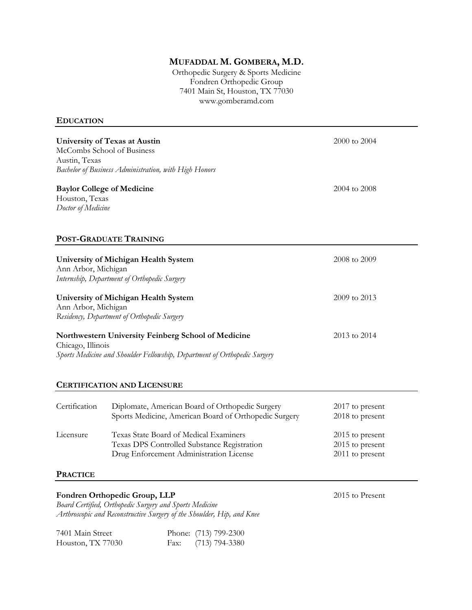# **MUFADDAL M. GOMBERA, M.D.**

Orthopedic Surgery & Sports Medicine Fondren Orthopedic Group 7401 Main St, Houston, TX 77030 www.gomberamd.com

#### **EDUCATION**

| University of Texas at Austin<br>McCombs School of Business<br>Austin, Texas<br>Bachelor of Business Administration, with High Honors |                                                                                                                                  | 2000 to 2004                                          |
|---------------------------------------------------------------------------------------------------------------------------------------|----------------------------------------------------------------------------------------------------------------------------------|-------------------------------------------------------|
| Houston, Texas<br>Doctor of Medicine                                                                                                  | <b>Baylor College of Medicine</b>                                                                                                | 2004 to 2008                                          |
|                                                                                                                                       | POST-GRADUATE TRAINING                                                                                                           |                                                       |
| Ann Arbor, Michigan                                                                                                                   | University of Michigan Health System<br>Internship, Department of Orthopedic Surgery                                             | 2008 to 2009                                          |
| University of Michigan Health System<br>Ann Arbor, Michigan<br>Residency, Department of Orthopedic Surgery                            |                                                                                                                                  | 2009 to 2013                                          |
| Chicago, Illinois                                                                                                                     | Northwestern University Feinberg School of Medicine<br>Sports Medicine and Shoulder Fellowship, Department of Orthopedic Surgery | 2013 to 2014                                          |
|                                                                                                                                       | <b>CERTIFICATION AND LICENSURE</b>                                                                                               |                                                       |
| Certification                                                                                                                         | Diplomate, American Board of Orthopedic Surgery<br>Sports Medicine, American Board of Orthopedic Surgery                         | 2017 to present<br>2018 to present                    |
| Licensure                                                                                                                             | Texas State Board of Medical Examiners<br>Texas DPS Controlled Substance Registration<br>Drug Enforcement Administration License | 2015 to present<br>2015 to present<br>2011 to present |
| <b>PRACTICE</b>                                                                                                                       |                                                                                                                                  |                                                       |
|                                                                                                                                       | Fondren Orthopedic Group, LLP<br>Board Continual Orthopodic Corporation and Sports Modering                                      | 2015 to Present                                       |

*Board Certified, Orthopedic Surgery and Sports Medicine Arthroscopic and Reconstructive Surgery of the Shoulder, Hip, and Knee*

| 7401 Main Street  | Phone: (713) 799-2300 |
|-------------------|-----------------------|
| Houston, TX 77030 | Fax: $(713)$ 794-3380 |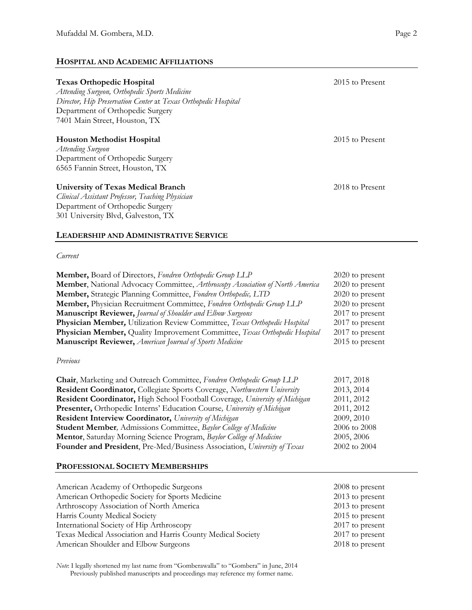## **HOSPITAL AND ACADEMIC AFFILIATIONS**

| <b>Texas Orthopedic Hospital</b><br>Attending Surgeon, Orthopedic Sports Medicine<br>Director, Hip Preservation Center at Texas Orthopedic Hospital<br>Department of Orthopedic Surgery<br>7401 Main Street, Houston, TX | 2015 to Present |
|--------------------------------------------------------------------------------------------------------------------------------------------------------------------------------------------------------------------------|-----------------|
| <b>Houston Methodist Hospital</b><br>Attending Surgeon<br>Department of Orthopedic Surgery<br>6565 Fannin Street, Houston, TX                                                                                            | 2015 to Present |
| University of Texas Medical Branch<br>Clinical Assistant Professor, Teaching Physician<br>Department of Orthopedic Surgery                                                                                               | 2018 to Present |

301 University Blvd, Galveston, TX

### **LEADERSHIP AND ADMINISTRATIVE SERVICE**

#### *Current*

| Member, Board of Directors, Fondren Orthopedic Group LLP                          | $2020$ to present |
|-----------------------------------------------------------------------------------|-------------------|
| Member, National Advocacy Committee, Arthroscopy Association of North America     | $2020$ to present |
| Member, Strategic Planning Committee, Fondren Orthopedic, LTD                     | $2020$ to present |
| Member, Physician Recruitment Committee, Fondren Orthopedic Group LLP             | $2020$ to present |
| <b>Manuscript Reviewer, Journal of Shoulder and Elbow Surgeons</b>                | $2017$ to present |
| Physician Member, Utilization Review Committee, Texas Orthopedic Hospital         | $2017$ to present |
| <b>Physician Member, Quality Improvement Committee, Texas Orthopedic Hospital</b> | $2017$ to present |
| <b>Manuscript Reviewer, American Journal of Sports Medicine</b>                   | $2015$ to present |
|                                                                                   |                   |

### *Previous*

| Chair, Marketing and Outreach Committee, Fondren Orthopedic Group LLP              | 2017, 2018   |
|------------------------------------------------------------------------------------|--------------|
| <b>Resident Coordinator, Collegiate Sports Coverage, Northwestern University</b>   | 2013, 2014   |
| <b>Resident Coordinator, High School Football Coverage, University of Michigan</b> | 2011, 2012   |
| Presenter, Orthopedic Interns' Education Course, University of Michigan            | 2011, 2012   |
| Resident Interview Coordinator, University of Michigan                             | 2009, 2010   |
| <b>Student Member</b> , Admissions Committee, Baylor College of Medicine           | 2006 to 2008 |
| Mentor, Saturday Morning Science Program, Baylor College of Medicine               | 2005, 2006   |
| Founder and President, Pre-Med/Business Association, University of Texas           | 2002 to 2004 |

### **PROFESSIONAL SOCIETY MEMBERSHIPS**

| American Academy of Orthopedic Surgeons                     | 2008 to present   |
|-------------------------------------------------------------|-------------------|
| American Orthopedic Society for Sports Medicine             | 2013 to present   |
| Arthroscopy Association of North America                    | $2013$ to present |
| Harris County Medical Society                               | $2015$ to present |
| International Society of Hip Arthroscopy                    | 2017 to present   |
| Texas Medical Association and Harris County Medical Society | 2017 to present   |
| American Shoulder and Elbow Surgeons                        | 2018 to present   |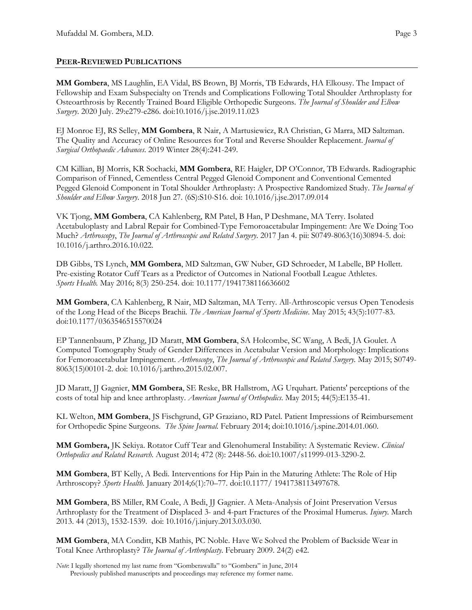## **PEER-REVIEWED PUBLICATIONS**

**MM Gombera**, MS Laughlin, EA Vidal, BS Brown, BJ Morris, TB Edwards, HA Elkousy. The Impact of Fellowship and Exam Subspecialty on Trends and Complications Following Total Shoulder Arthroplasty for Osteoarthrosis by Recently Trained Board Eligible Orthopedic Surgeons. *The Journal of Shoulder and Elbow Surgery*. 2020 July. 29:e279-e286. doi:10.1016/j.jse.2019.11.023

EJ Monroe EJ, RS Selley, **MM Gombera**, R Nair, A Martusiewicz, RA Christian, G Marra, MD Saltzman. The Quality and Accuracy of Online Resources for Total and Reverse Shoulder Replacement. *Journal of Surgical Orthopaedic Advances*. 2019 Winter 28(4):241-249.

CM Killian, BJ Morris, KR Sochacki, **MM Gombera**, RE Haigler, DP O'Connor, TB Edwards. Radiographic Comparison of Finned, Cementless Central Pegged Glenoid Component and Conventional Cemented Pegged Glenoid Component in Total Shoulder Arthroplasty: A Prospective Randomized Study. *The Journal of Shoulder and Elbow Surgery*. 2018 Jun 27. (6S):S10-S16. doi: 10.1016/j.jse.2017.09.014

VK Tjong, **MM Gombera**, CA Kahlenberg, RM Patel, B Han, P Deshmane, MA Terry. Isolated Acetabuloplasty and Labral Repair for Combined-Type Femoroacetabular Impingement: Are We Doing Too Much? *Arthroscopy*, *The Journal of Arthroscopic and Related Surgery*. 2017 Jan 4. pii: S0749-8063(16)30894-5. doi: 10.1016/j.arthro.2016.10.022.

DB Gibbs, TS Lynch, **MM Gombera**, MD Saltzman, GW Nuber, GD Schroeder, M Labelle, BP Hollett. Pre-existing Rotator Cuff Tears as a Predictor of Outcomes in National Football League Athletes. *Sports Health.* May 2016; 8(3) 250-254. doi: 10.1177/1941738116636602

**MM Gombera**, CA Kahlenberg, R Nair, MD Saltzman, MA Terry. All-Arthroscopic versus Open Tenodesis of the Long Head of the Biceps Brachii*. The American Journal of Sports Medicine*. May 2015; 43(5):1077-83. doi:10.1177/0363546515570024

EP Tannenbaum, P Zhang, JD Maratt, **MM Gombera**, SA Holcombe, SC Wang, A Bedi, JA Goulet. A Computed Tomography Study of Gender Differences in Acetabular Version and Morphology: Implications for Femoroacetabular Impingement. *Arthroscopy*, *The Journal of Arthroscopic and Related Surgery.* May 2015; S0749- 8063(15)00101-2. doi: 10.1016/j.arthro.2015.02.007.

JD Maratt, JJ Gagnier, **MM Gombera**, SE Reske, BR Hallstrom, AG Urquhart. Patients' perceptions of the costs of total hip and knee arthroplasty. *American Journal of Orthopedics*. May 2015; 44(5):E135-41.

KL Welton, **MM Gombera**, JS Fischgrund, GP Graziano, RD Patel. Patient Impressions of Reimbursement for Orthopedic Spine Surgeons*. The Spine Journal.* February 2014; doi:10.1016/j.spine.2014.01.060.

**MM Gombera,** JK Sekiya. Rotator Cuff Tear and Glenohumeral Instability: A Systematic Review. *Clinical Orthopedics and Related Research*. August 2014; 472 (8): 2448-56. doi:10.1007/s11999-013-3290-2.

**MM Gombera**, BT Kelly, A Bedi. Interventions for Hip Pain in the Maturing Athlete: The Role of Hip Arthroscopy? *Sports Health.* January 2014;6(1):70–77. doi:10.1177/ 1941738113497678.

**MM Gombera**, BS Miller, RM Coale, A Bedi, JJ Gagnier. A Meta-Analysis of Joint Preservation Versus Arthroplasty for the Treatment of Displaced 3- and 4-part Fractures of the Proximal Humerus*. Injury*. March 2013. 44 (2013), 1532-1539. doi: 10.1016/j.injury.2013.03.030.

**MM Gombera**, MA Conditt, KB Mathis, PC Noble. Have We Solved the Problem of Backside Wear in Total Knee Arthroplasty? *The Journal of Arthroplasty*. February 2009. 24(2) e42.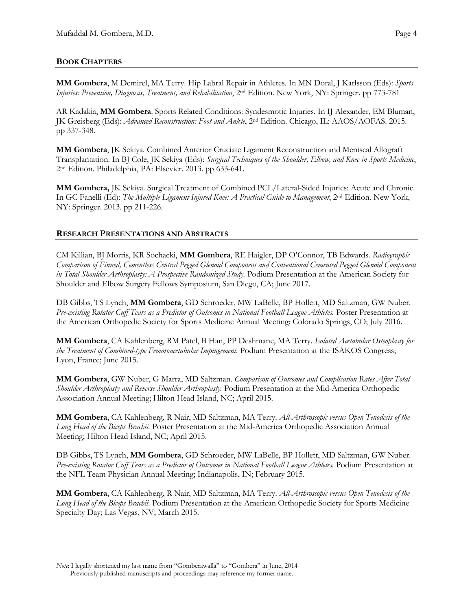**MM Gombera**, M Demirel, MA Terry. Hip Labral Repair in Athletes*.* In MN Doral, J Karlsson (Eds): *Sports Injuries: Prevention, Diagnosis, Treatment, and Rehabilitation*, 2nd Edition. New York, NY: Springer. pp 773-781

AR Kadakia, **MM Gombera**. Sports Related Conditions: Syndesmotic Injuries. In IJ Alexander, EM Bluman, JK Greisberg (Eds): *Advanced Reconstruction: Foot and Ankle*, 2nd Edition. Chicago, IL: AAOS/AOFAS. 2015. pp 337-348.

**MM Gombera**, JK Sekiya. Combined Anterior Cruciate Ligament Reconstruction and Meniscal Allograft Transplantation. In BJ Cole, JK Sekiya (Eds): *Surgical Techniques of the Shoulder, Elbow, and Knee in Sports Medicine*, 2nd Edition. Philadelphia, PA: Elsevier. 2013. pp 633-641.

**MM Gombera,** JK Sekiya. Surgical Treatment of Combined PCL/Lateral-Sided Injuries: Acute and Chronic. In GC Fanelli (Ed): *The Multiple Ligament Injured Knee: A Practical Guide to Management*, 2nd Edition. New York, NY: Springer. 2013. pp 211-226.

## **RESEARCH PRESENTATIONS AND ABSTRACTS**

CM Killian, BJ Morris, KR Sochacki, **MM Gombera**, RE Haigler, DP O'Connor, TB Edwards. *Radiographic Comparison of Finned, Cementless Central Pegged Glenoid Component and Conventional Cemented Pegged Glenoid Component in Total Shoulder Arthroplasty: A Prospective Randomized Study.* Podium Presentation at the American Society for Shoulder and Elbow Surgery Fellows Symposium, San Diego, CA; June 2017.

DB Gibbs, TS Lynch, **MM Gombera**, GD Schroeder, MW LaBelle, BP Hollett, MD Saltzman, GW Nuber. *Pre-existing Rotator Cuff Tears as a Predictor of Outcomes in National Football League Athletes.* Poster Presentation at the American Orthopedic Society for Sports Medicine Annual Meeting; Colorado Springs, CO; July 2016.

**MM Gombera**, CA Kahlenberg, RM Patel, B Han, PP Deshmane, MA Terry*. Isolated Acetabular Osteoplasty for the Treatment of Combined-type Femoroacetabular Impingement.* Podium Presentation at the ISAKOS Congress; Lyon, France; June 2015.

**MM Gombera**, GW Nuber, G Marra, MD Saltzman. *Comparison of Outcomes and Complication Rates After Total Shoulder Arthroplasty and Reverse Shoulder Arthroplasty.* Podium Presentation at the Mid-America Orthopedic Association Annual Meeting; Hilton Head Island, NC; April 2015.

**MM Gombera**, CA Kahlenberg, R Nair, MD Saltzman, MA Terry. *All-Arthroscopic versus Open Tenodesis of the Long Head of the Biceps Brachii.* Poster Presentation at the Mid-America Orthopedic Association Annual Meeting; Hilton Head Island, NC; April 2015.

DB Gibbs, TS Lynch, **MM Gombera**, GD Schroeder, MW LaBelle, BP Hollett, MD Saltzman, GW Nuber. *Pre-existing Rotator Cuff Tears as a Predictor of Outcomes in National Football League Athletes.* Podium Presentation at the NFL Team Physician Annual Meeting; Indianapolis, IN; February 2015.

**MM Gombera**, CA Kahlenberg, R Nair, MD Saltzman, MA Terry. *All-Arthroscopic versus Open Tenodesis of the Long Head of the Biceps Brachii.* Podium Presentation at the American Orthopedic Society for Sports Medicine Specialty Day; Las Vegas, NV; March 2015.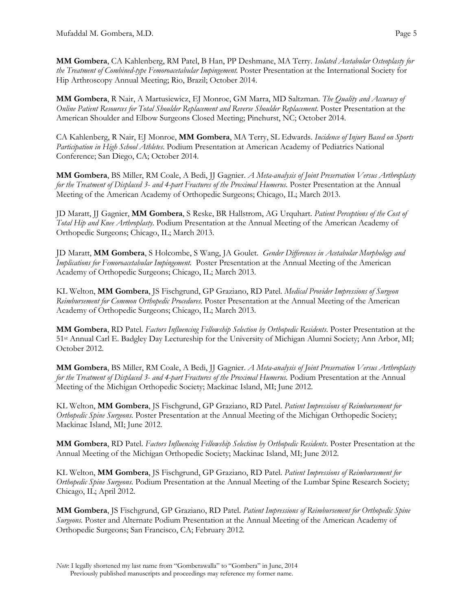**MM Gombera**, CA Kahlenberg, RM Patel, B Han, PP Deshmane, MA Terry. *Isolated Acetabular Osteoplasty for the Treatment of Combined-type Femoroacetabular Impingement.* Poster Presentation at the International Society for Hip Arthroscopy Annual Meeting; Rio, Brazil; October 2014.

**MM Gombera**, R Nair, A Martusiewicz, EJ Monroe, GM Marra, MD Saltzman. *The Quality and Accuracy of Online Patient Resources for Total Shoulder Replacement and Reverse Shoulder Replacement.* Poster Presentation at the American Shoulder and Elbow Surgeons Closed Meeting; Pinehurst, NC; October 2014.

CA Kahlenberg, R Nair, EJ Monroe, **MM Gombera**, MA Terry, SL Edwards. *Incidence of Injury Based on Sports Participation in High School Athletes*. Podium Presentation at American Academy of Pediatrics National Conference; San Diego, CA; October 2014.

**MM Gombera**, BS Miller, RM Coale, A Bedi, JJ Gagnier. *A Meta-analysis of Joint Preservation Versus Arthroplasty for the Treatment of Displaced 3- and 4-part Fractures of the Proximal Humerus.* Poster Presentation at the Annual Meeting of the American Academy of Orthopedic Surgeons; Chicago, IL; March 2013.

JD Maratt, JJ Gagnier, **MM Gombera**, S Reske, BR Hallstrom, AG Urquhart. *Patient Perceptions of the Cost of Total Hip and Knee Arthroplasty*. Podium Presentation at the Annual Meeting of the American Academy of Orthopedic Surgeons; Chicago, IL; March 2013.

JD Maratt, **MM Gombera**, S Holcombe, S Wang, JA Goulet. *Gender Differences in Acetabular Morphology and Implications for Femoroacetabular Impingement.* Poster Presentation at the Annual Meeting of the American Academy of Orthopedic Surgeons; Chicago, IL; March 2013.

KL Welton, **MM Gombera**, JS Fischgrund, GP Graziano, RD Patel. *Medical Provider Impressions of Surgeon Reimbursement for Common Orthopedic Procedures*. Poster Presentation at the Annual Meeting of the American Academy of Orthopedic Surgeons; Chicago, IL; March 2013.

**MM Gombera**, RD Patel. *Factors Influencing Fellowship Selection by Orthopedic Residents*. Poster Presentation at the 51st Annual Carl E. Badgley Day Lectureship for the University of Michigan Alumni Society; Ann Arbor, MI; October 2012.

**MM Gombera**, BS Miller, RM Coale, A Bedi, JJ Gagnier. *A Meta-analysis of Joint Preservation Versus Arthroplasty for the Treatment of Displaced 3- and 4-part Fractures of the Proximal Humerus.* Podium Presentation at the Annual Meeting of the Michigan Orthopedic Society; Mackinac Island, MI; June 2012.

KL Welton, **MM Gombera**, JS Fischgrund, GP Graziano, RD Patel. *Patient Impressions of Reimbursement for Orthopedic Spine Surgeons.* Poster Presentation at the Annual Meeting of the Michigan Orthopedic Society; Mackinac Island, MI; June 2012.

**MM Gombera**, RD Patel. *Factors Influencing Fellowship Selection by Orthopedic Residents*. Poster Presentation at the Annual Meeting of the Michigan Orthopedic Society; Mackinac Island, MI; June 2012.

KL Welton, **MM Gombera**, JS Fischgrund, GP Graziano, RD Patel. *Patient Impressions of Reimbursement for Orthopedic Spine Surgeons.* Podium Presentation at the Annual Meeting of the Lumbar Spine Research Society; Chicago, IL; April 2012.

**MM Gombera**, JS Fischgrund, GP Graziano, RD Patel. *Patient Impressions of Reimbursement for Orthopedic Spine Surgeons.* Poster and Alternate Podium Presentation at the Annual Meeting of the American Academy of Orthopedic Surgeons; San Francisco, CA; February 2012.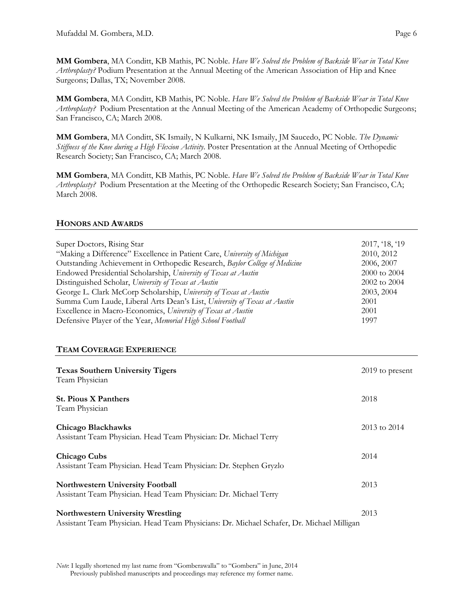**MM Gombera**, MA Conditt, KB Mathis, PC Noble. *Have We Solved the Problem of Backside Wear in Total Knee Arthroplasty?* Podium Presentation at the Annual Meeting of the American Association of Hip and Knee Surgeons; Dallas, TX; November 2008.

**MM Gombera**, MA Conditt, KB Mathis, PC Noble. *Have We Solved the Problem of Backside Wear in Total Knee Arthroplasty?* Podium Presentation at the Annual Meeting of the American Academy of Orthopedic Surgeons; San Francisco, CA; March 2008.

**MM Gombera**, MA Conditt, SK Ismaily, N Kulkarni, NK Ismaily, JM Saucedo, PC Noble. *The Dynamic Stiffness of the Knee during a High Flexion Activity*. Poster Presentation at the Annual Meeting of Orthopedic Research Society; San Francisco, CA; March 2008.

**MM Gombera**, MA Conditt, KB Mathis, PC Noble. *Have We Solved the Problem of Backside Wear in Total Knee Arthroplasty?* Podium Presentation at the Meeting of the Orthopedic Research Society; San Francisco, CA; March 2008.

### **HONORS AND AWARDS**

| Super Doctors, Rising Star<br>"Making a Difference" Excellence in Patient Care, University of Michigan<br>Outstanding Achievement in Orthopedic Research, Baylor College of Medicine<br>Endowed Presidential Scholarship, University of Texas at Austin<br>Distinguished Scholar, University of Texas at Austin<br>George L. Clark McCorp Scholarship, University of Texas at Austin<br>Summa Cum Laude, Liberal Arts Dean's List, University of Texas at Austin<br>Excellence in Macro-Economics, University of Texas at Austin<br>Defensive Player of the Year, Memorial High School Football<br><b>TEAM COVERAGE EXPERIENCE</b> | 2017, '18, '19<br>2010, 2012<br>2006, 2007<br>2000 to 2004<br>2002 to 2004<br>2003, 2004<br>2001<br>2001<br>1997 |
|------------------------------------------------------------------------------------------------------------------------------------------------------------------------------------------------------------------------------------------------------------------------------------------------------------------------------------------------------------------------------------------------------------------------------------------------------------------------------------------------------------------------------------------------------------------------------------------------------------------------------------|------------------------------------------------------------------------------------------------------------------|
|                                                                                                                                                                                                                                                                                                                                                                                                                                                                                                                                                                                                                                    |                                                                                                                  |
| <b>Texas Southern University Tigers</b><br>Team Physician                                                                                                                                                                                                                                                                                                                                                                                                                                                                                                                                                                          | 2019 to present                                                                                                  |
| <b>St. Pious X Panthers</b><br>Team Physician                                                                                                                                                                                                                                                                                                                                                                                                                                                                                                                                                                                      | 2018                                                                                                             |
| <b>Chicago Blackhawks</b><br>Assistant Team Physician. Head Team Physician: Dr. Michael Terry                                                                                                                                                                                                                                                                                                                                                                                                                                                                                                                                      | 2013 to 2014                                                                                                     |
| Chicago Cubs<br>Assistant Team Physician. Head Team Physician: Dr. Stephen Gryzlo                                                                                                                                                                                                                                                                                                                                                                                                                                                                                                                                                  | 2014                                                                                                             |
| Northwestern University Football<br>Assistant Team Physician. Head Team Physician: Dr. Michael Terry                                                                                                                                                                                                                                                                                                                                                                                                                                                                                                                               | 2013                                                                                                             |
| <b>Northwestern University Wrestling</b><br>Assistant Team Physician. Head Team Physicians: Dr. Michael Schafer, Dr. Michael Milligan                                                                                                                                                                                                                                                                                                                                                                                                                                                                                              | 2013                                                                                                             |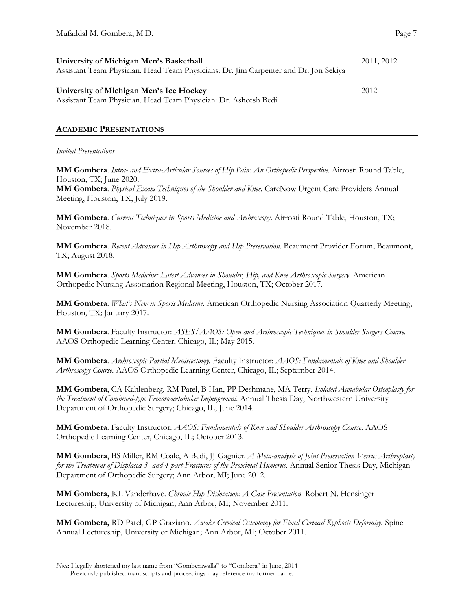| University of Michigan Men's Basketball                                              |      |
|--------------------------------------------------------------------------------------|------|
| Assistant Team Physician. Head Team Physicians: Dr. Jim Carpenter and Dr. Jon Sekiya |      |
|                                                                                      |      |
| University of Michigan Men's Ice Hockey                                              | 2012 |
| Assistant Team Physician. Head Team Physician: Dr. Asheesh Bedi                      |      |

## **ACADEMIC PRESENTATIONS**

### *Invited Presentations*

**MM Gombera**. *Intra- and Extra-Articular Sources of Hip Pain: An Orthopedic Perspective*. Airrosti Round Table, Houston, TX; June 2020.

**MM Gombera**. *Physical Exam Techniques of the Shoulder and Knee*. CareNow Urgent Care Providers Annual Meeting, Houston, TX; July 2019.

**MM Gombera**. *Current Techniques in Sports Medicine and Arthroscopy*. Airrosti Round Table, Houston, TX; November 2018.

**MM Gombera**. *Recent Advances in Hip Arthroscopy and Hip Preservation*. Beaumont Provider Forum, Beaumont, TX; August 2018.

**MM Gombera**. *Sports Medicine: Latest Advances in Shoulder, Hip, and Knee Arthroscopic Surgery*. American Orthopedic Nursing Association Regional Meeting, Houston, TX; October 2017.

**MM Gombera**. *What's New in Sports Medicine*. American Orthopedic Nursing Association Quarterly Meeting, Houston, TX; January 2017.

**MM Gombera**. Faculty Instructor: *ASES/AAOS: Open and Arthroscopic Techniques in Shoulder Surgery Course.*  AAOS Orthopedic Learning Center, Chicago, IL; May 2015.

**MM Gombera**. *Arthroscopic Partial Meniscectomy.* Faculty Instructor: *AAOS: Fundamentals of Knee and Shoulder Arthroscopy Course.* AAOS Orthopedic Learning Center, Chicago, IL; September 2014.

**MM Gombera**, CA Kahlenberg, RM Patel, B Han, PP Deshmane, MA Terry. *Isolated Acetabular Osteoplasty for the Treatment of Combined-type Femoroacetabular Impingement.* Annual Thesis Day, Northwestern University Department of Orthopedic Surgery; Chicago, IL; June 2014.

**MM Gombera**. Faculty Instructor: *AAOS: Fundamentals of Knee and Shoulder Arthroscopy Course.* AAOS Orthopedic Learning Center, Chicago, IL; October 2013.

**MM Gombera**, BS Miller, RM Coale, A Bedi, JJ Gagnier. *A Meta-analysis of Joint Preservation Versus Arthroplasty for the Treatment of Displaced 3- and 4-part Fractures of the Proximal Humerus.* Annual Senior Thesis Day, Michigan Department of Orthopedic Surgery; Ann Arbor, MI; June 2012.

**MM Gombera,** KL Vanderhave. *Chronic Hip Dislocation: A Case Presentation.* Robert N. Hensinger Lectureship, University of Michigan; Ann Arbor, MI; November 2011.

**MM Gombera,** RD Patel, GP Graziano. *Awake Cervical Osteotomy for Fixed Cervical Kyphotic Deformity.* Spine Annual Lectureship, University of Michigan; Ann Arbor, MI; October 2011.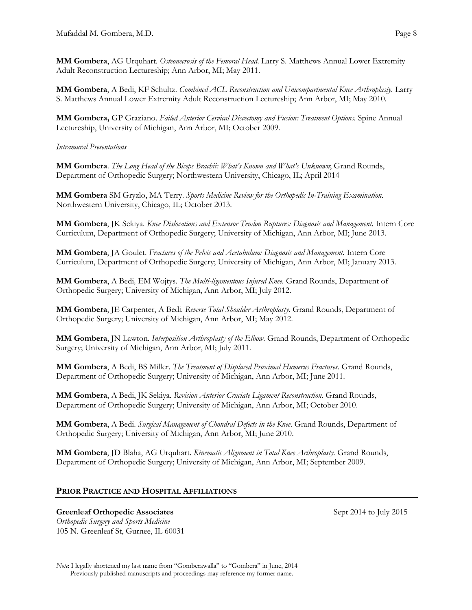**MM Gombera**, AG Urquhart. *Osteonecrosis of the Femoral Head*. Larry S. Matthews Annual Lower Extremity Adult Reconstruction Lectureship; Ann Arbor, MI; May 2011.

**MM Gombera**, A Bedi, KF Schultz. *Combined ACL Reconstruction and Unicompartmental Knee Arthroplasty.* Larry S. Matthews Annual Lower Extremity Adult Reconstruction Lectureship; Ann Arbor, MI; May 2010.

**MM Gombera,** GP Graziano. *Failed Anterior Cervical Discectomy and Fusion: Treatment Options.* Spine Annual Lectureship, University of Michigan, Ann Arbor, MI; October 2009.

## *Intramural Presentations*

**MM Gombera**. *The Long Head of the Biceps Brachii: What's Known and What's Unknown*; Grand Rounds, Department of Orthopedic Surgery; Northwestern University, Chicago, IL; April 2014

**MM Gombera** SM Gryzlo, MA Terry. *Sports Medicine Review for the Orthopedic In-Training Examination*. Northwestern University, Chicago, IL; October 2013.

**MM Gombera**, JK Sekiya. *Knee Dislocations and Extensor Tendon Ruptures: Diagnosis and Management.* Intern Core Curriculum, Department of Orthopedic Surgery; University of Michigan, Ann Arbor, MI; June 2013.

**MM Gombera**, JA Goulet. *Fractures of the Pelvis and Acetabulum: Diagnosis and Management.* Intern Core Curriculum, Department of Orthopedic Surgery; University of Michigan, Ann Arbor, MI; January 2013.

**MM Gombera**, A Bedi*,* EM Wojtys. *The Multi-ligamentous Injured Knee.* Grand Rounds, Department of Orthopedic Surgery; University of Michigan, Ann Arbor, MI; July 2012.

**MM Gombera**, JE Carpenter, A Bedi*. Reverse Total Shoulder Arthroplasty.* Grand Rounds, Department of Orthopedic Surgery; University of Michigan, Ann Arbor, MI; May 2012.

**MM Gombera**, JN Lawton*. Interposition Arthroplasty of the Elbow*. Grand Rounds, Department of Orthopedic Surgery; University of Michigan, Ann Arbor, MI; July 2011.

**MM Gombera**, A Bedi, BS Miller. *The Treatment of Displaced Proximal Humerus Fractures.* Grand Rounds, Department of Orthopedic Surgery; University of Michigan, Ann Arbor, MI; June 2011.

**MM Gombera**, A Bedi, JK Sekiya. *Revision Anterior Cruciate Ligament Reconstruction.* Grand Rounds, Department of Orthopedic Surgery; University of Michigan, Ann Arbor, MI; October 2010.

**MM Gombera**, A Bedi. *Surgical Management of Chondral Defects in the Knee*. Grand Rounds, Department of Orthopedic Surgery; University of Michigan, Ann Arbor, MI; June 2010.

**MM Gombera**, JD Blaha, AG Urquhart. *Kinematic Alignment in Total Knee Arthroplasty.* Grand Rounds, Department of Orthopedic Surgery; University of Michigan, Ann Arbor, MI; September 2009.

## **PRIOR PRACTICE AND HOSPITAL AFFILIATIONS**

### Greenleaf Orthopedic Associates Sept 2014 to July 2015

*Orthopedic Surgery and Sports Medicine* 105 N. Greenleaf St, Gurnee, IL 60031